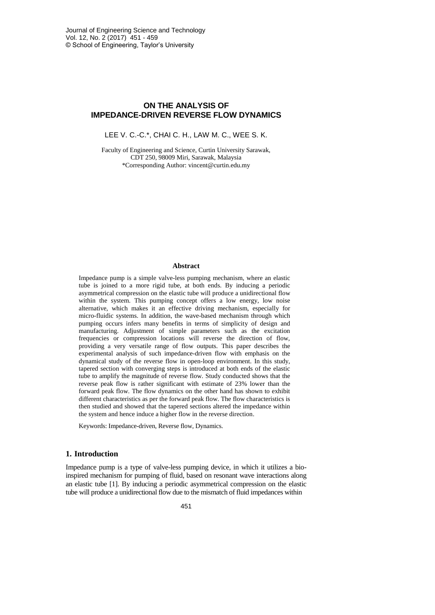# **ON THE ANALYSIS OF IMPEDANCE-DRIVEN REVERSE FLOW DYNAMICS**

LEE V. C.-C.\*, CHAI C. H., LAW M. C., WEE S. K.

Faculty of Engineering and Science, Curtin University Sarawak, CDT 250, 98009 Miri, Sarawak, Malaysia \*Corresponding Author: vincent@curtin.edu.my

#### **Abstract**

Impedance pump is a simple valve-less pumping mechanism, where an elastic tube is joined to a more rigid tube, at both ends. By inducing a periodic asymmetrical compression on the elastic tube will produce a unidirectional flow within the system. This pumping concept offers a low energy, low noise alternative, which makes it an effective driving mechanism, especially for micro-fluidic systems. In addition, the wave-based mechanism through which pumping occurs infers many benefits in terms of simplicity of design and manufacturing. Adjustment of simple parameters such as the excitation frequencies or compression locations will reverse the direction of flow, providing a very versatile range of flow outputs. This paper describes the experimental analysis of such impedance-driven flow with emphasis on the dynamical study of the reverse flow in open-loop environment. In this study, tapered section with converging steps is introduced at both ends of the elastic tube to amplify the magnitude of reverse flow. Study conducted shows that the reverse peak flow is rather significant with estimate of 23% lower than the forward peak flow. The flow dynamics on the other hand has shown to exhibit different characteristics as per the forward peak flow. The flow characteristics is then studied and showed that the tapered sections altered the impedance within the system and hence induce a higher flow in the reverse direction.

Keywords: Impedance-driven, Reverse flow, Dynamics.

### **1. Introduction**

Impedance pump is a type of valve-less pumping device, in which it utilizes a bioinspired mechanism for pumping of fluid, based on resonant wave interactions along an elastic tube [1]. By inducing a periodic asymmetrical compression on the elastic tube will produce a unidirectional flow due to the mismatch of fluid impedances within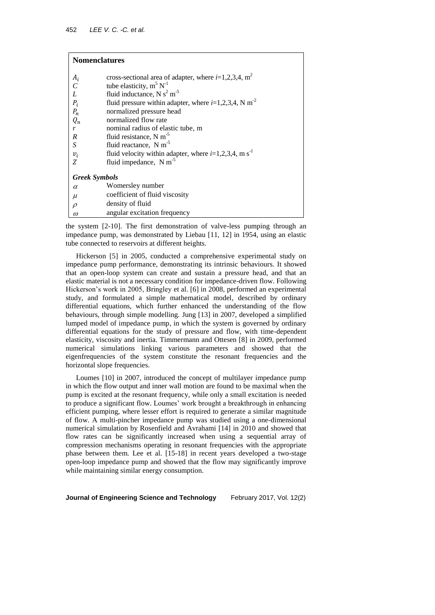| <b>Nomenclatures</b>                                |                                                                      |  |  |  |
|-----------------------------------------------------|----------------------------------------------------------------------|--|--|--|
| $A_i$                                               | cross-sectional area of adapter, where $i=1,2,3,4$ , m <sup>2</sup>  |  |  |  |
|                                                     | tube elasticity, $m^5 N^{-1}$                                        |  |  |  |
|                                                     | fluid inductance, N $s^2$ m <sup>-5</sup>                            |  |  |  |
| $\begin{array}{c} C \\ L \\ P_i \\ P_n \end{array}$ | fluid pressure within adapter, where $i=1,2,3,4$ , N m <sup>-2</sup> |  |  |  |
|                                                     | normalized pressure head                                             |  |  |  |
| $Q_n$                                               | normalized flow rate                                                 |  |  |  |
| r                                                   | nominal radius of elastic tube, m                                    |  |  |  |
| $\boldsymbol{R}$                                    | fluid resistance, N m <sup>-5</sup>                                  |  |  |  |
| $\boldsymbol{S}$                                    | fluid reactance, $N m^{-5}$                                          |  |  |  |
| $v_i$                                               | fluid velocity within adapter, where $i=1,2,3,4$ , m s <sup>-1</sup> |  |  |  |
| Z                                                   | fluid impedance, N m <sup>-5</sup>                                   |  |  |  |
| <b>Greek Symbols</b>                                |                                                                      |  |  |  |
| $\alpha$                                            | Womersley number                                                     |  |  |  |
| $\mu$                                               | coefficient of fluid viscosity                                       |  |  |  |
| $\rho$                                              | density of fluid                                                     |  |  |  |
| $\omega$                                            | angular excitation frequency                                         |  |  |  |

the system [2-10]. The first demonstration of valve-less pumping through an impedance pump, was demonstrated by Liebau [11, 12] in 1954, using an elastic tube connected to reservoirs at different heights.

Hickerson [5] in 2005, conducted a comprehensive experimental study on impedance pump performance, demonstrating its intrinsic behaviours. It showed that an open-loop system can create and sustain a pressure head, and that an elastic material is not a necessary condition for impedance-driven flow. Following Hickerson's work in 2005, Bringley et al. [6] in 2008, performed an experimental study, and formulated a simple mathematical model, described by ordinary differential equations, which further enhanced the understanding of the flow behaviours, through simple modelling. Jung [13] in 2007, developed a simplified lumped model of impedance pump, in which the system is governed by ordinary differential equations for the study of pressure and flow, with time-dependent elasticity, viscosity and inertia. Timmermann and Ottesen [8] in 2009, performed numerical simulations linking various parameters and showed that the eigenfrequencies of the system constitute the resonant frequencies and the horizontal slope frequencies.

Loumes [10] in 2007, introduced the concept of multilayer impedance pump in which the flow output and inner wall motion are found to be maximal when the pump is excited at the resonant frequency, while only a small excitation is needed to produce a significant flow. Loumes' work brought a breakthrough in enhancing efficient pumping, where lesser effort is required to generate a similar magnitude of flow. A multi-pincher impedance pump was studied using a one-dimensional numerical simulation by Rosenfield and Avrahami [14] in 2010 and showed that flow rates can be significantly increased when using a sequential array of compression mechanisms operating in resonant frequencies with the appropriate phase between them. Lee et al. [15-18] in recent years developed a two-stage open-loop impedance pump and showed that the flow may significantly improve while maintaining similar energy consumption.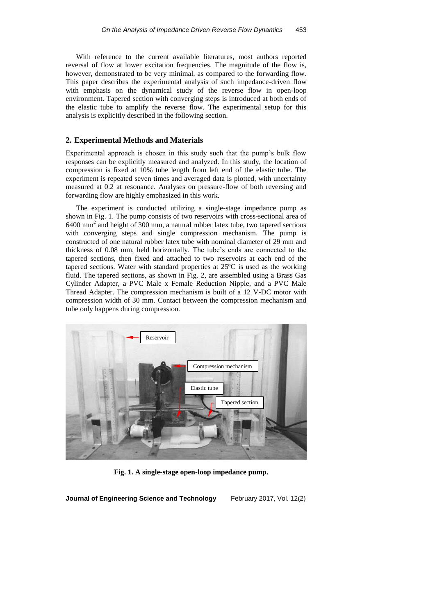With reference to the current available literatures, most authors reported reversal of flow at lower excitation frequencies. The magnitude of the flow is, however, demonstrated to be very minimal, as compared to the forwarding flow. This paper describes the experimental analysis of such impedance-driven flow with emphasis on the dynamical study of the reverse flow in open-loop environment. Tapered section with converging steps is introduced at both ends of the elastic tube to amplify the reverse flow. The experimental setup for this analysis is explicitly described in the following section.

### **2. Experimental Methods and Materials**

Experimental approach is chosen in this study such that the pump's bulk flow responses can be explicitly measured and analyzed. In this study, the location of compression is fixed at 10% tube length from left end of the elastic tube. The experiment is repeated seven times and averaged data is plotted, with uncertainty measured at 0.2 at resonance. Analyses on pressure-flow of both reversing and forwarding flow are highly emphasized in this work.

The experiment is conducted utilizing a single-stage impedance pump as shown in Fig. 1. The pump consists of two reservoirs with cross-sectional area of 6400 mm<sup>2</sup> and height of 300 mm, a natural rubber latex tube, two tapered sections with converging steps and single compression mechanism. The pump is constructed of one natural rubber latex tube with nominal diameter of 29 mm and thickness of 0.08 mm, held horizontally. The tube's ends are connected to the tapered sections, then fixed and attached to two reservoirs at each end of the tapered sections. Water with standard properties at 25ºC is used as the working fluid. The tapered sections, as shown in Fig. 2, are assembled using a Brass Gas Cylinder Adapter, a PVC Male x Female Reduction Nipple, and a PVC Male Thread Adapter. The compression mechanism is built of a 12 V-DC motor with compression width of 30 mm. Contact between the compression mechanism and tube only happens during compression.



**Fig. 1. A single-stage open-loop impedance pump.**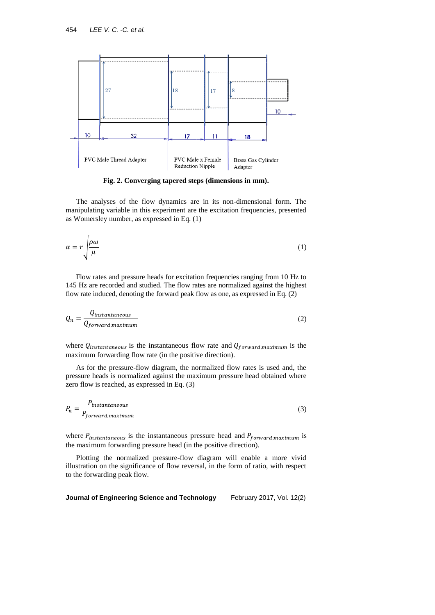

**Fig. 2. Converging tapered steps (dimensions in mm).**

The analyses of the flow dynamics are in its non-dimensional form. The manipulating variable in this experiment are the excitation frequencies, presented as Womersley number, as expressed in Eq. (1)

$$
\alpha = r \sqrt{\frac{\rho \omega}{\mu}} \tag{1}
$$

Flow rates and pressure heads for excitation frequencies ranging from 10 Hz to 145 Hz are recorded and studied. The flow rates are normalized against the highest flow rate induced, denoting the forward peak flow as one, as expressed in Eq. (2)

$$
Q_n = \frac{Q_{instantaneous}}{Q_{forward, maximum}}
$$
 (2)

where  $Q_{instantaneous}$  is the instantaneous flow rate and  $Q_{forward, maximum}$  is the maximum forwarding flow rate (in the positive direction).

As for the pressure-flow diagram, the normalized flow rates is used and, the pressure heads is normalized against the maximum pressure head obtained where zero flow is reached, as expressed in Eq. (3)

$$
P_n = \frac{P_{instantaneous}}{P_{forward, maximum}}
$$
\n(3)

where  $P_{instantaneous}$  is the instantaneous pressure head and  $P_{forward, maximum}$  is the maximum forwarding pressure head (in the positive direction).

Plotting the normalized pressure-flow diagram will enable a more vivid illustration on the significance of flow reversal, in the form of ratio, with respect to the forwarding peak flow.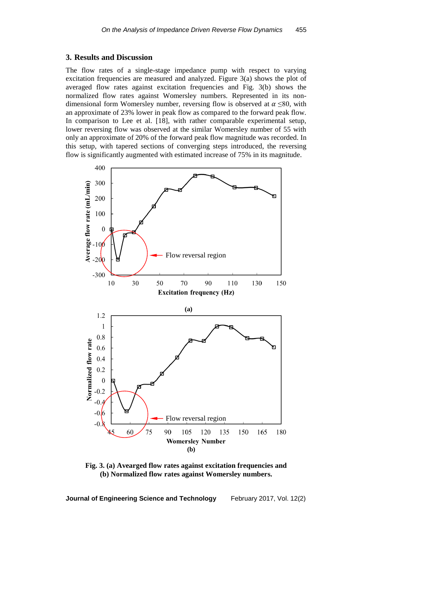#### **3. Results and Discussion**

The flow rates of a single-stage impedance pump with respect to varying excitation frequencies are measured and analyzed. Figure 3(a) shows the plot of averaged flow rates against excitation frequencies and Fig. 3(b) shows the normalized flow rates against Womersley numbers. Represented in its nondimensional form Womersley number, reversing flow is observed at  $\alpha \leq 80$ , with an approximate of 23% lower in peak flow as compared to the forward peak flow. In comparison to Lee et al. [18], with rather comparable experimental setup, lower reversing flow was observed at the similar Womersley number of 55 with only an approximate of 20% of the forward peak flow magnitude was recorded. In this setup, with tapered sections of converging steps introduced, the reversing flow is significantly augmented with estimated increase of 75% in its magnitude.



**Fig. 3. (a) Avearged flow rates against excitation frequencies and (b) Normalized flow rates against Womersley numbers.**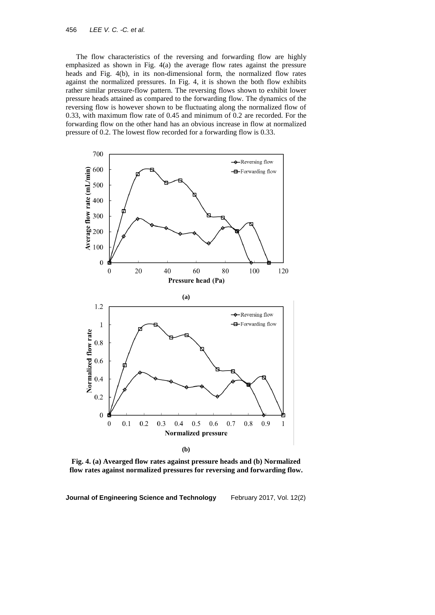The flow characteristics of the reversing and forwarding flow are highly emphasized as shown in Fig. 4(a) the average flow rates against the pressure heads and Fig. 4(b), in its non-dimensional form, the normalized flow rates against the normalized pressures. In Fig. 4, it is shown the both flow exhibits rather similar pressure-flow pattern. The reversing flows shown to exhibit lower pressure heads attained as compared to the forwarding flow. The dynamics of the reversing flow is however shown to be fluctuating along the normalized flow of 0.33, with maximum flow rate of 0.45 and minimum of 0.2 are recorded. For the forwarding flow on the other hand has an obvious increase in flow at normalized pressure of 0.2. The lowest flow recorded for a forwarding flow is 0.33.



**Fig. 4. (a) Avearged flow rates against pressure heads and (b) Normalized flow rates against normalized pressures for reversing and forwarding flow.**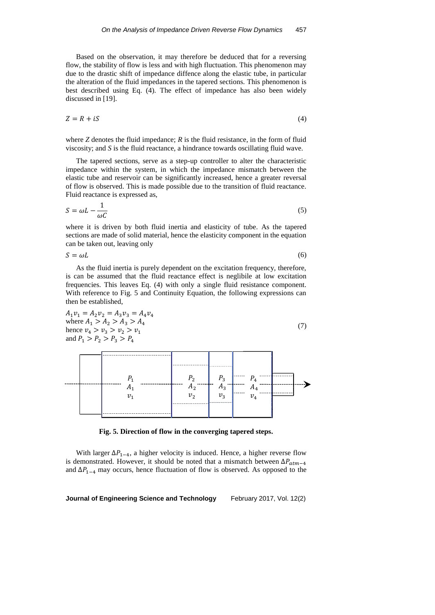Based on the observation, it may therefore be deduced that for a reversing flow, the stability of flow is less and with high fluctuation. This phenomenon may due to the drastic shift of impedance diffence along the elastic tube, in particular the alteration of the fluid impedances in the tapered sections. This phenomenon is best described using Eq. (4). The effect of impedance has also been widely discussed in [19].

$$
Z = R + iS \tag{4}
$$

where *Z* denotes the fluid impedance; *R* is the fluid resistance, in the form of fluid viscosity; and *S* is the fluid reactance, a hindrance towards oscillating fluid wave.

The tapered sections, serve as a step-up controller to alter the characteristic impedance within the system, in which the impedance mismatch between the elastic tube and reservoir can be significantly increased, hence a greater reversal of flow is observed. This is made possible due to the transition of fluid reactance. Fluid reactance is expressed as,

$$
S = \omega L - \frac{1}{\omega C} \tag{5}
$$

where it is driven by both fluid inertia and elasticity of tube. As the tapered sections are made of solid material, hence the elasticity component in the equation can be taken out, leaving only

 $S = \omega L$  (6)

As the fluid inertia is purely dependent on the excitation frequency, therefore, is can be assumed that the fluid reactance effect is neglibile at low excitation frequencies. This leaves Eq. (4) with only a single fluid resistance component. With reference to Fig. 5 and Continuity Equation, the following expressions can then be established,

 $A_1 v_1 = A_2 v_2 = A_3 v_3 = A_4 v_4$ where  $A_1 > A_2 > A_3 > A_4$ hence  $v_4 > v_3 > v_2 > v_1$ and  $P_1 > P_2 > P_3 > P_4$ 



|         | $P_{2}$        | $P_3$                 |         |  |
|---------|----------------|-----------------------|---------|--|
| $v_{1}$ | $A_2$<br>$v_2$ | $-$<br>$A_3$<br>$v_3$ | $v_{4}$ |  |

**Fig. 5. Direction of flow in the converging tapered steps.**

With larger  $\Delta P_{1-4}$ , a higher velocity is induced. Hence, a higher reverse flow is demonstrated. However, it should be noted that a mismatch between  $\Delta P_{atm-4}$ and  $\Delta P_{1-4}$  may occurs, hence fluctuation of flow is observed. As opposed to the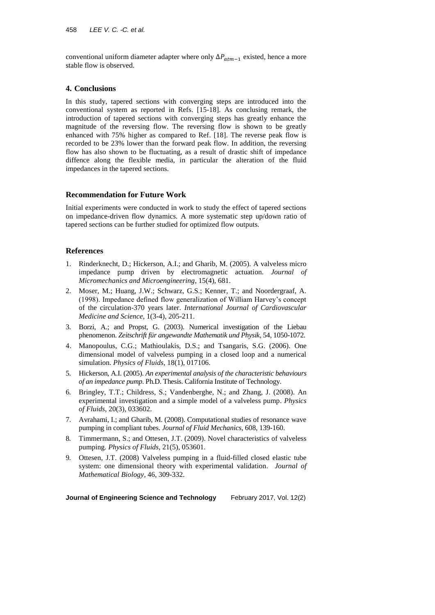conventional uniform diameter adapter where only  $\Delta P_{atm-1}$  existed, hence a more stable flow is observed.

# **4. Conclusions**

In this study, tapered sections with converging steps are introduced into the conventional system as reported in Refs. [15-18]. As conclusing remark, the introduction of tapered sections with converging steps has greatly enhance the magnitude of the reversing flow. The reversing flow is shown to be greatly enhanced with 75% higher as compared to Ref. [18]. The reverse peak flow is recorded to be 23% lower than the forward peak flow. In addition, the reversing flow has also shown to be fluctuating, as a result of drastic shift of impedance diffence along the flexible media, in particular the alteration of the fluid impedances in the tapered sections.

### **Recommendation for Future Work**

Initial experiments were conducted in work to study the effect of tapered sections on impedance-driven flow dynamics. A more systematic step up/down ratio of tapered sections can be further studied for optimized flow outputs.

# **References**

- 1. Rinderknecht, D.; Hickerson, A.I.; and Gharib, M. (2005). A valveless micro impedance pump driven by electromagnetic actuation. *Journal of Micromechanics and Microengineering*, 15(4), 681.
- 2. Moser, M.; Huang, J.W.; Schwarz, G.S.; Kenner, T.; and Noordergraaf, A. (1998). Impedance defined flow generalization of William Harvey's concept of the circulation-370 years later. *International Journal of Cardiovascular Medicine and Science*, 1(3-4), 205-211.
- 3. Borzi, A.; and Propst, G. (2003). Numerical investigation of the Liebau phenomenon. *Zeitschrift für angewandte Mathematik und Physik*, 54, 1050-1072.
- 4. Manopoulus, C.G.; Mathioulakis, D.S.; and Tsangaris, S.G. (2006). One dimensional model of valveless pumping in a closed loop and a numerical simulation. *Physics of Fluids*, 18(1), 017106.
- 5. Hickerson, A.I. (2005). *An experimental analysis of the characteristic behaviours of an impedance pump*. Ph.D. Thesis. California Institute of Technology.
- 6. Bringley, T.T.; Childress, S.; Vandenberghe, N.; and Zhang, J. (2008). An experimental investigation and a simple model of a valveless pump. *Physics of Fluids*, 20(3), 033602.
- 7. Avrahami, I.; and Gharib, M. (2008). Computational studies of resonance wave pumping in compliant tubes. *Journal of Fluid Mechanics*, 608, 139-160.
- 8. Timmermann, S.; and Ottesen, J.T. (2009). Novel characteristics of valveless pumping. *Physics of Fluids*, 21(5), 053601.
- 9. Ottesen, J.T. (2008) Valveless pumping in a fluid-filled closed elastic tube system: one dimensional theory with experimental validation. *Journal of Mathematical Biology*, 46, 309-332.